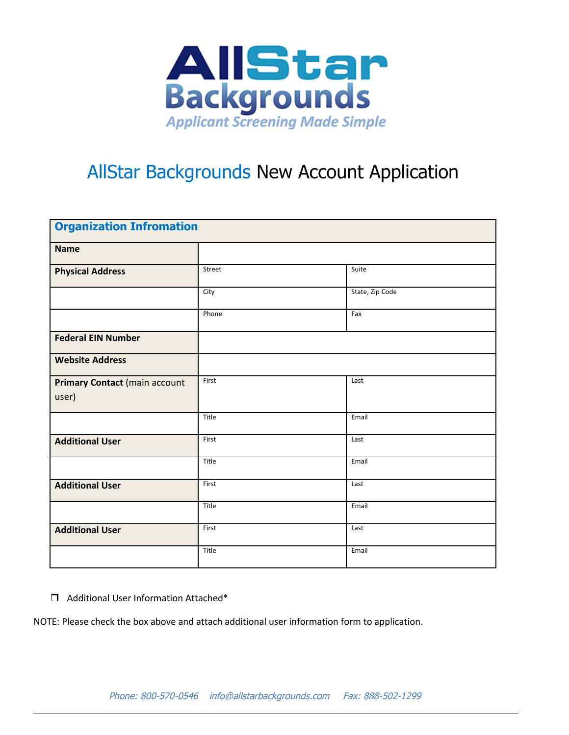

## AllStar Backgrounds New Account Application

| <b>Organization Infromation</b>        |        |                 |
|----------------------------------------|--------|-----------------|
| <b>Name</b>                            |        |                 |
| <b>Physical Address</b>                | Street | Suite           |
|                                        | City   | State, Zip Code |
|                                        | Phone  | Fax             |
| <b>Federal EIN Number</b>              |        |                 |
| <b>Website Address</b>                 |        |                 |
| Primary Contact (main account<br>user) | First  | Last            |
|                                        | Title  | Email           |
| <b>Additional User</b>                 | First  | Last            |
|                                        | Title  | Email           |
| <b>Additional User</b>                 | First  | Last            |
|                                        | Title  | Email           |
| <b>Additional User</b>                 | First  | Last            |
|                                        | Title  | Email           |

□ Additional User Information Attached\*

NOTE: Please check the box above and attach additional user information form to application.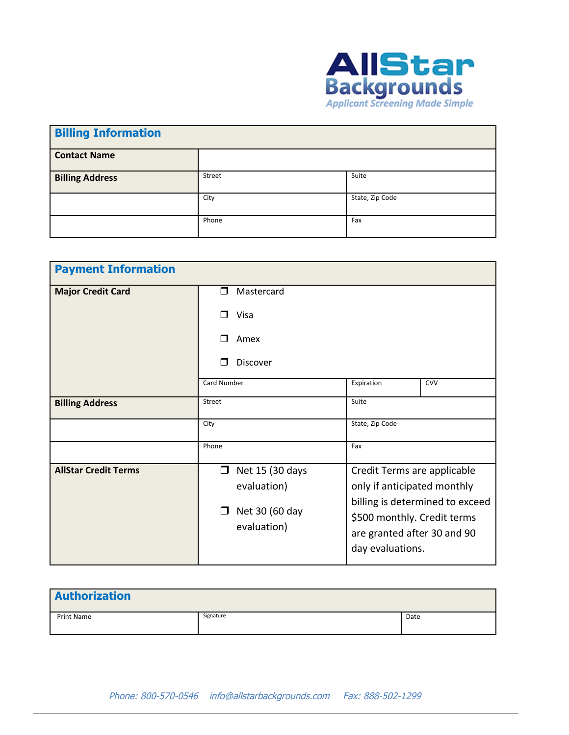

| <b>Billing Information</b> |        |                 |
|----------------------------|--------|-----------------|
| <b>Contact Name</b>        |        |                 |
| <b>Billing Address</b>     | Street | Suite           |
|                            | City   | State, Zip Code |
|                            | Phone  | Fax             |

| <b>Payment Information</b>  |                                                                                     |                                                                                                                                                                                 |            |
|-----------------------------|-------------------------------------------------------------------------------------|---------------------------------------------------------------------------------------------------------------------------------------------------------------------------------|------------|
| <b>Major Credit Card</b>    | Mastercard<br>⊓                                                                     |                                                                                                                                                                                 |            |
|                             | Visa<br>⊓                                                                           |                                                                                                                                                                                 |            |
|                             | Amex                                                                                |                                                                                                                                                                                 |            |
|                             | Discover                                                                            |                                                                                                                                                                                 |            |
|                             | <b>Card Number</b>                                                                  | Expiration                                                                                                                                                                      | <b>CVV</b> |
| <b>Billing Address</b>      | Street                                                                              | Suite                                                                                                                                                                           |            |
|                             | City                                                                                | State, Zip Code                                                                                                                                                                 |            |
|                             | Phone                                                                               | Fax                                                                                                                                                                             |            |
| <b>AllStar Credit Terms</b> | Net 15 (30 days<br>$\Box$<br>evaluation)<br>Net 30 (60 day<br>$\Box$<br>evaluation) | Credit Terms are applicable<br>only if anticipated monthly<br>billing is determined to exceed<br>\$500 monthly. Credit terms<br>are granted after 30 and 90<br>day evaluations. |            |

| <b>Authorization</b> |           |      |
|----------------------|-----------|------|
| Print Name           | Signature | Date |